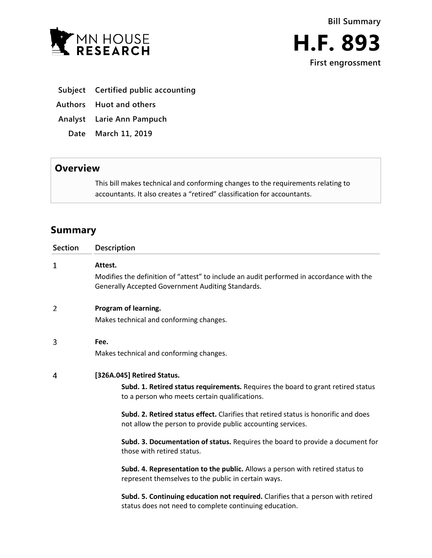



- **Subject Certified public accounting**
- **Authors Huot and others**
- **Analyst Larie Ann Pampuch**
	- **Date March 11, 2019**

## **Overview**

This bill makes technical and conforming changes to the requirements relating to accountants. It also creates a "retired" classification for accountants.

# **Summary**

| <b>Section</b> | <b>Description</b>                                                                                                                                 |
|----------------|----------------------------------------------------------------------------------------------------------------------------------------------------|
| 1              | Attest.                                                                                                                                            |
|                | Modifies the definition of "attest" to include an audit performed in accordance with the<br>Generally Accepted Government Auditing Standards.      |
| 2              | Program of learning.                                                                                                                               |
|                | Makes technical and conforming changes.                                                                                                            |
| 3              | Fee.                                                                                                                                               |
|                | Makes technical and conforming changes.                                                                                                            |
| 4              | [326A.045] Retired Status.                                                                                                                         |
|                | Subd. 1. Retired status requirements. Requires the board to grant retired status<br>to a person who meets certain qualifications.                  |
|                | Subd. 2. Retired status effect. Clarifies that retired status is honorific and does<br>not allow the person to provide public accounting services. |
|                | Subd. 3. Documentation of status. Requires the board to provide a document for<br>those with retired status.                                       |
|                | Subd. 4. Representation to the public. Allows a person with retired status to<br>represent themselves to the public in certain ways.               |
|                | Subd. 5. Continuing education not required. Clarifies that a person with retired<br>status does not need to complete continuing education.         |